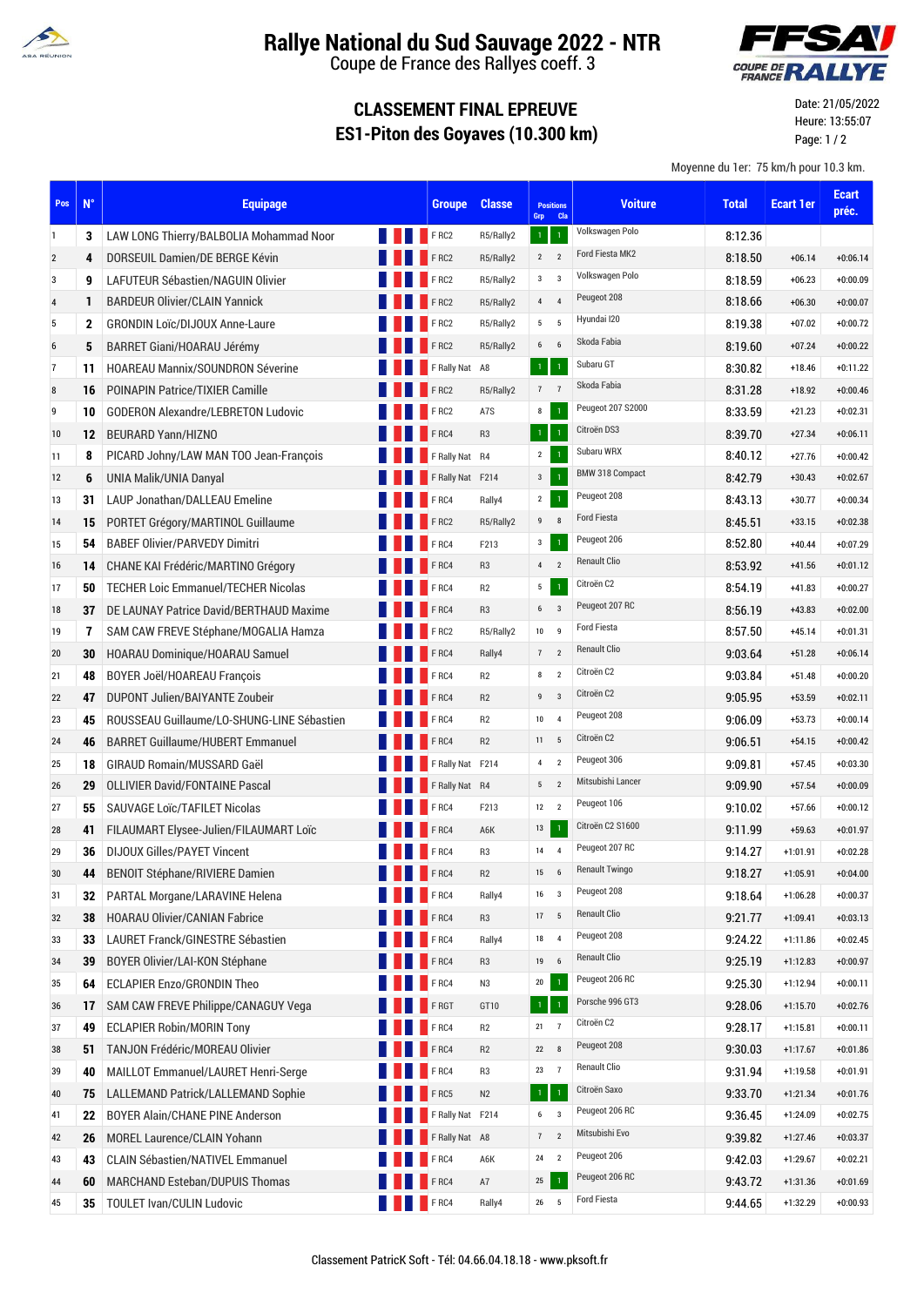

## **Rallye National du Sud Sauvage 2022 - NTR**

Coupe de France des Rallyes coeff. 3

## **CLASSEMENT FINAL EPREUVE ES1-Piton des Goyaves (10.300 km)**



Date: 21/05/2022 Heure: 13:55:07 Page: 1 / 2

Moyenne du 1er: 75 km/h pour 10.3 km.

| Pos                     | $N^{\circ}$  | <b>Equipage</b>                            |                 | <b>Groupe</b>    | <b>Classe</b>  | <b>Positions</b><br><b>Cla</b><br>Grp       | <b>Voiture</b>         | <b>Total</b> | <b>Ecart 1er</b> | <b>Ecart</b><br>préc. |
|-------------------------|--------------|--------------------------------------------|-----------------|------------------|----------------|---------------------------------------------|------------------------|--------------|------------------|-----------------------|
| 1                       | 3            | LAW LONG Thierry/BALBOLIA Mohammad Noor    |                 | <b>FRC2</b>      | R5/Rally2      | $\mathbf{1}$<br>$\overline{1}$              | Volkswagen Polo        | 8:12.36      |                  |                       |
| $\overline{\mathbf{c}}$ | 4            | DORSEUIL Damien/DE BERGE Kévin             |                 | FRC2             | R5/Rally2      | $2 \quad 2$                                 | Ford Fiesta MK2        | 8:18.50      | $+06.14$         | $+0:06.14$            |
| 3                       | 9            | LAFUTEUR Sébastien/NAGUIN Olivier          |                 | FRC2             | R5/Rally2      | $3^3$                                       | Volkswagen Polo        | 8:18.59      | $+06.23$         | $+0:00.09$            |
| 4                       | 1            | <b>BARDEUR Olivier/CLAIN Yannick</b>       |                 | FRC2             | R5/Rally2      | 4<br>$\overline{4}$                         | Peugeot 208            | 8:18.66      | $+06.30$         | $+0:00.07$            |
| 5                       | $\mathbf{2}$ | <b>GRONDIN Loïc/DIJOUX Anne-Laure</b>      |                 | FRC2             | R5/Rally2      | 5<br>5 <sub>5</sub>                         | Hyundai I20            | 8:19.38      | $+07.02$         | $+0:00.72$            |
| 6                       | 5            | BARRET Giani/HOARAU Jérémy                 |                 | FRC2             | R5/Rally2      | 6<br>$6\overline{6}$                        | Skoda Fabia            | 8:19.60      | $+07.24$         | $+0:00.22$            |
| 7                       | 11           | <b>HOAREAU Mannix/SOUNDRON Séverine</b>    |                 | F Rally Nat A8   |                | $\,1\,$<br>$\mathbf 1$                      | Subaru GT              | 8:30.82      | $+18.46$         | $+0:11.22$            |
| 8                       | 16           | POINAPIN Patrice/TIXIER Camille            |                 | FRC2             | R5/Rally2      | $\overline{7}$<br>$\overline{7}$            | Skoda Fabia            | 8.31.28      | $+18.92$         | $+0:00.46$            |
| 9                       | 10           | <b>GODERON Alexandre/LEBRETON Ludovic</b>  |                 | FRC2             | A7S            | $\mathbf{1}$<br>8                           | Peugeot 207 S2000      | 8:33.59      | $+21.23$         | $+0:02.31$            |
| 10                      | 12           | <b>BEURARD Yann/HIZNO</b>                  |                 | F <sub>RC4</sub> | R <sub>3</sub> | $\left 1\right\rangle$<br>$\lceil 1 \rceil$ | Citroën DS3            | 8.39.70      | $+27.34$         | $+0:06.11$            |
| 11                      | 8            | PICARD Johny/LAW MAN TOO Jean-François     |                 | F Rally Nat R4   |                | $\overline{1}$<br>$\overline{2}$            | Subaru WRX             | 8:40.12      | $+27.76$         | $+0:00.42$            |
| 12                      | 6            | UNIA Malik/UNIA Danyal                     |                 | F Rally Nat F214 |                | $\mathbf{1}$<br>$\mathbf{3}$                | <b>BMW 318 Compact</b> | 8:42.79      | $+30.43$         | $+0:02.67$            |
| 13                      | 31           | <b>LAUP Jonathan/DALLEAU Emeline</b>       |                 | FRC4             | Rally4         | $\overline{2}$<br>$\mathbf{1}$              | Peugeot 208            | 8:43.13      | $+30.77$         | $+0:00.34$            |
| 14                      | 15           | PORTET Grégory/MARTINOL Guillaume          |                 | FRC2             | R5/Rally2      | $\mathbf{g}$<br>9                           | <b>Ford Fiesta</b>     | 8:45.51      | $+33.15$         | $+0:02.38$            |
| 15                      | 54           | <b>BABEF Olivier/PARVEDY Dimitri</b>       |                 | FRC4             | F213           | $\mathbf{3}$<br>$\mathbf{1}$                | Peugeot 206            | 8:52.80      | $+40.44$         | $+0:07.29$            |
| 16                      | 14           | <b>CHANE KAI Frédéric/MARTINO Grégory</b>  |                 | FRC4             | R <sub>3</sub> | $4\quad 2$                                  | <b>Renault Clio</b>    | 8:53.92      | $+41.56$         | $+0:01.12$            |
| 17                      | 50           | <b>TECHER Loic Emmanuel/TECHER Nicolas</b> |                 | <b>FRC4</b>      | R <sub>2</sub> | $\overline{1}$<br>5 <sub>5</sub>            | Citroën C2             | 8:54.19      | $+41.83$         | $+0:00.27$            |
| 18                      | 37           | DE LAUNAY Patrice David/BERTHAUD Maxime    |                 | <b>FRC4</b>      | R <sub>3</sub> | $6\qquad 3$                                 | Peugeot 207 RC         | 8:56.19      | $+43.83$         | $+0:02.00$            |
| 19                      | 7            | SAM CAW FREVE Stéphane/MOGALIA Hamza       |                 | FRC2             | R5/Rally2      | $\overline{9}$<br>10                        | Ford Fiesta            | 8:57.50      | $+45.14$         | $+0:01.31$            |
| 20                      | 30           | HOARAU Dominique/HOARAU Samuel             |                 | FRC4             | Rally4         | $7\quad 2$                                  | <b>Renault Clio</b>    | 9:03.64      | $+51.28$         | $+0:06.14$            |
| 21                      | 48           | <b>BOYER Joël/HOAREAU François</b>         |                 | F <sub>RC4</sub> | R <sub>2</sub> | $\overline{2}$<br>$\bf 8$                   | Citroën C2             | 9:03.84      | $+51.48$         | $+0:00.20$            |
| 22                      | 47           | DUPONT Julien/BAIYANTE Zoubeir             |                 | FRC4             | R2             | $9 \qquad 3$                                | Citroën C2             | 9:05.95      | $+53.59$         | $+0:02.11$            |
| 23                      | 45           | ROUSSEAU Guillaume/LO-SHUNG-LINE Sébastien |                 | FRC4             | R <sub>2</sub> | $\overline{4}$<br>10                        | Peugeot 208            | 9:06.09      | $+53.73$         | $+0:00.14$            |
| 24                      | 46           | <b>BARRET Guillaume/HUBERT Emmanuel</b>    |                 | FRC4             | R2             | 5<br>11                                     | Citroën C2             | 9:06.51      | $+54.15$         | $+0:00.42$            |
| 25                      | 18           | GIRAUD Romain/MUSSARD Gaël                 |                 | F Rally Nat F214 |                | $\overline{2}$<br>$\overline{4}$            | Peugeot 306            | 9:09.81      | $+57.45$         | $+0:03.30$            |
| 26                      | 29           | <b>OLLIVIER David/FONTAINE Pascal</b>      |                 | F Rally Nat R4   |                | 5<br>$\overline{2}$                         | Mitsubishi Lancer      | 9:09.90      | $+57.54$         | $+0:00.09$            |
| 27                      | 55           | SAUVAGE Loïc/TAFILET Nicolas               |                 | FRC4             | F213           | $12 \qquad 2$                               | Peugeot 106            | 9:10.02      | $+57.66$         | $+0:00.12$            |
| 28                      | 41           | FILAUMART Elysee-Julien/FILAUMART Loïc     |                 | F <sub>RC4</sub> | A6K            | $\mathbf{1}$<br>13                          | Citroën C2 S1600       | 9:11.99      | $+59.63$         | $+0:01.97$            |
| 29                      | 36           | <b>DIJOUX Gilles/PAYET Vincent</b>         |                 | FRC4             | R <sub>3</sub> | 14<br>$\overline{4}$                        | Peugeot 207 RC         | 9:14.27      | $+1:01.91$       | $+0:02.28$            |
| 30                      | 44           | <b>BENOIT Stéphane/RIVIERE Damien</b>      |                 | FRC4             | R <sub>2</sub> | 15<br>6                                     | <b>Renault Twingo</b>  | 9:18.27      | $+1:05.91$       | $+0:04.00$            |
| 31                      | 32           | PARTAL Morgane/LARAVINE Helena             | <b>FRC4</b>     |                  | Rally4         | $\overline{\mathbf{3}}$<br>16               | Peugeot 208            | 9:18.64      | $+1:06.28$       | $+0:00.37$            |
| 32                      | 38           | <b>HOARAU Olivier/CANIAN Fabrice</b>       |                 | FRC4             | R3             | $\overline{5}$<br>17                        | Renault Clio           | 9:21.77      | $+1:09.41$       | $+0:03.13$            |
| 33                      | 33           | LAURET Franck/GINESTRE Sébastien           |                 | FRC4             | Rally4         | $\overline{4}$<br>18                        | Peugeot 208            | 9:24.22      | $+1:11.86$       | $+0:02.45$            |
| 34                      | 39           | BOYER Olivier/LAI-KON Stéphane             |                 | FRC4             | R <sub>3</sub> | $\boldsymbol{6}$<br>19                      | <b>Renault Clio</b>    | 9:25.19      | $+1:12.83$       | $+0:00.97$            |
| 35                      | 64           | <b>ECLAPIER Enzo/GRONDIN Theo</b>          |                 | FRC4             | N3             | 20<br>$\vert 1 \vert$                       | Peugeot 206 RC         | 9:25.30      | $+1:12.94$       | $+0:00.11$            |
| 36                      | 17           | SAM CAW FREVE Philippe/CANAGUY Vega        |                 | FRGT             | GT10           | $\langle 1 \rangle$<br>$\lceil$             | Porsche 996 GT3        | 9:28.06      | $+1:15.70$       | $+0:02.76$            |
| 37                      | 49           | <b>ECLAPIER Robin/MORIN Tony</b>           |                 | F <sub>RC4</sub> | R <sub>2</sub> | 21 7                                        | Citroën C2             | 9:28.17      | $+1:15.81$       | $+0:00.11$            |
| 38                      | 51           | TANJON Frédéric/MOREAU Olivier             |                 | FRC4             | R <sub>2</sub> | 8<br>22                                     | Peugeot 208            | 9:30.03      | $+1:17.67$       | $+0:01.86$            |
| 39                      | 40           | MAILLOT Emmanuel/LAURET Henri-Serge        |                 | FRC4             | R <sub>3</sub> | $\overline{7}$<br>23                        | Renault Clio           | 9:31.94      | $+1:19.58$       | $+0:01.91$            |
| 40                      | 75           | <b>LALLEMAND Patrick/LALLEMAND Sophie</b>  |                 | FRC5             | N <sub>2</sub> | $\left 1\right\rangle$<br>$\vert 1 \vert$   | Citroën Saxo           | 9:33.70      | $+1:21.34$       | $+0:01.76$            |
| 41                      | 22           | <b>BOYER Alain/CHANE PINE Anderson</b>     |                 | F Rally Nat F214 |                | $\overline{3}$<br>6                         | Peugeot 206 RC         | 9:36.45      | $+1:24.09$       | $+0:02.75$            |
| 42                      | 26           | <b>MOREL Laurence/CLAIN Yohann</b>         |                 | F Rally Nat A8   |                | $\overline{2}$<br>$7\overline{ }$           | Mitsubishi Evo         | 9:39.82      | $+1:27.46$       | $+0:03.37$            |
| 43                      | 43           | <b>CLAIN Sébastien/NATIVEL Emmanuel</b>    |                 | F <sub>RC4</sub> | A6K            | 24<br>$\overline{\mathbf{2}}$               | Peugeot 206            | 9:42.03      | $+1:29.67$       | $+0:02.21$            |
| 44                      | 60           | <b>MARCHAND Esteban/DUPUIS Thomas</b>      |                 | FRC4             | A7             | $25\,$<br>$\overline{1}$                    | Peugeot 206 RC         | 9:43.72      | $+1:31.36$       | $+0:01.69$            |
| 45                      | 35           | <b>TOULET Ivan/CULIN Ludovic</b>           | <b>THE FRC4</b> |                  | Rally4         | $\sqrt{5}$<br>$26\phantom{.0}$              | <b>Ford Fiesta</b>     | 9:44.65      | $+1:32.29$       | $+0:00.93$            |